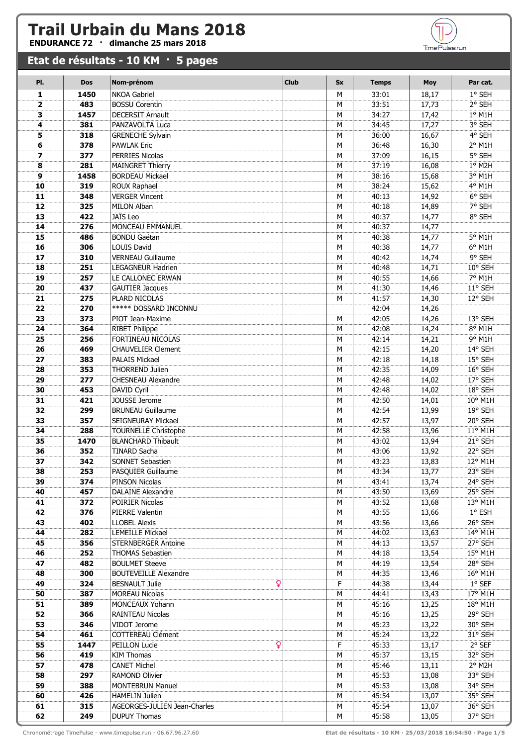## **Trail Urbain du Mans 2018**<br>ENDURANCE 72 · dimanche 25 mars 2018

## **Etat de résultats - 10 KM · 5 pages**

| PI.          | <b>Dos</b> | Nom-prénom                   | <b>Club</b> | <b>Sx</b> | <b>Temps</b> | <b>Moy</b> | Par cat.        |
|--------------|------------|------------------------------|-------------|-----------|--------------|------------|-----------------|
| 1            | 1450       | <b>NKOA Gabriel</b>          |             | M         | 33:01        | 18,17      | 1° SEH          |
| $\mathbf{2}$ | 483        | <b>BOSSU Corentin</b>        |             | М         | 33:51        | 17,73      | 2° SEH          |
| з            | 1457       | <b>DECERSIT Arnault</b>      |             | M         | 34:27        | 17,42      | $1°$ M1H        |
| 4            | 381        | PANZAVOLTA Luca              |             | M         | 34:45        | 17,27      | 3° SEH          |
| 5            | 318        | <b>GRENECHE Sylvain</b>      |             | M         | 36:00        | 16,67      | 4° SEH          |
| 6            | 378        | <b>PAWLAK Eric</b>           |             | M         | 36:48        | 16,30      | 2° M1H          |
| 7            | 377        | <b>PERRIES Nicolas</b>       |             | M         | 37:09        | 16,15      | 5° SEH          |
| 8            | 281        | <b>MAINGRET Thierry</b>      |             | M         | 37:19        | 16,08      | 1° M2H          |
| 9            | 1458       | <b>BORDEAU Mickael</b>       |             | M         | 38:16        | 15,68      | 3° M1H          |
| 10           | 319        | ROUX Raphael                 |             | M         | 38:24        | 15,62      | 4° M1H          |
| 11           | 348        | <b>VERGER Vincent</b>        |             | M         | 40:13        | 14,92      | 6° SEH          |
| 12           | 325        | <b>MILON Alban</b>           |             | M         | 40:18        | 14,89      | 7° SEH          |
| 13           | 422        | JAÏS Leo                     |             | M         | 40:37        | 14,77      | 8° SEH          |
| 14           | 276        | MONCEAU EMMANUEL             |             | M         | 40:37        | 14,77      |                 |
| 15           | 486        | <b>BONDU Gaétan</b>          |             | M         | 40:38        | 14,77      | 5° M1H          |
| 16           | 306        | <b>LOUIS David</b>           |             | М         | 40:38        | 14,77      | 6° M1H          |
| 17           | 310        | <b>VERNEAU Guillaume</b>     |             | M         | 40:42        | 14,74      | 9° SEH          |
| 18           | 251        | LEGAGNEUR Hadrien            |             | M         | 40:48        | 14,71      | 10° SEH         |
| 19           | 257        | LE CALLONEC ERWAN            |             | M         | 40:55        | 14,66      | 7° M1H          |
| 20           | 437        | <b>GAUTIER Jacques</b>       |             | M         | 41:30        | 14,46      | 11° SEH         |
| 21           | 275        | PLARD NICOLAS                |             | M         | 41:57        | 14,30      | 12° SEH         |
| 22           | 270        | <b>***** DOSSARD INCONNU</b> |             |           | 42:04        | 14,26      |                 |
| 23           | 373        | PIOT Jean-Maxime             |             | M         | 42:05        | 14,26      | 13° SEH         |
| 24           | 364        | RIBET Philippe               |             | M         | 42:08        | 14,24      | 8° M1H          |
| 25           | 256        | FORTINEAU NICOLAS            |             | M         | 42:14        | 14,21      | 9° M1H          |
| 26           | 469        | <b>CHAUVELIER Clement</b>    |             | M         | 42:15        | 14,20      | 14° SEH         |
| 27           | 383        | <b>PALAIS Mickael</b>        |             | M         | 42:18        | 14,18      | 15° SEH         |
| 28           | 353        | <b>THORREND Julien</b>       |             | M         | 42:35        | 14,09      | 16° SEH         |
| 29           | 277        | <b>CHESNEAU Alexandre</b>    |             | M         | 42:48        | 14,02      | 17° SEH         |
| 30           | 453        | DAVID Cyril                  |             | M         | 42:48        | 14,02      | 18° SEH         |
| 31           | 421        | JOUSSE Jerome                |             | M         | 42:50        | 14,01      | 10° M1H         |
| 32           | 299        | <b>BRUNEAU Guillaume</b>     |             | M         | 42:54        | 13,99      | 19° SEH         |
| 33           | 357        | SEIGNEURAY Mickael           |             | M         | 42:57        | 13,97      | 20° SEH         |
| 34           | 288        | <b>TOURNELLE Christophe</b>  |             | M         | 42:58        | 13,96      | 11° M1H         |
| 35           | 1470       | <b>BLANCHARD Thibault</b>    |             | M         | 43:02        | 13,94      | 21° SEH         |
| 36           | 352        | <b>TINARD Sacha</b>          |             | M         | 43:06        | 13,92      | 22° SEH         |
| 37           | 342        | SONNET Sebastien             |             | M         | 43:23        | 13,83      | 12° M1H         |
| 38           | 253        | PASQUIER Guillaume           |             | М         | 43:34        | 13,77      | 23° SEH         |
| 39           | 374        | PINSON Nicolas               |             | м         | 43:41        | 13,74      | 24° SEH         |
| 40           | 457        | <b>DALAINE Alexandre</b>     |             | м         | 43:50        | 13,69      | 25° SEH         |
| 41           | 372        | POIRIER Nicolas              |             | м         | 43:52        | 13,68      | 13° M1H         |
| 42           | 376        | PIERRE Valentin              |             | м         | 43:55        | 13,66      | $1^{\circ}$ ESH |
| 43           | 402        | <b>LLOBEL Alexis</b>         |             | М         | 43:56        | 13,66      | 26° SEH         |
| 44           | 282        | <b>LEMEILLE Mickael</b>      |             | М         | 44:02        | 13,63      | 14° M1H         |
| 45           | 356        | <b>STERNBERGER Antoine</b>   |             | м         | 44:13        | 13,57      | 27° SEH         |
| 46           | 252        | <b>THOMAS Sebastien</b>      |             | м         | 44:18        | 13,54      | 15° M1H         |
| 47           | 482        | <b>BOULMET Steeve</b>        |             | м         | 44:19        | 13,54      | 28° SEH         |
| 48           | 300        | <b>BOUTEVEILLE Alexandre</b> |             | м         | 44:35        | 13,46      | 16° M1H         |
| 49           | 324        | Q<br><b>BESNAULT Julie</b>   |             | F         | 44:38        | 13,44      | $1°$ SEF        |
| 50           | 387        | <b>MOREAU Nicolas</b>        |             | м         | 44:41        | 13,43      | 17° M1H         |
| 51           | 389        | MONCEAUX Yohann              |             | M         | 45:16        | 13,25      | 18° M1H         |
| 52           | 366        | <b>RAINTEAU Nicolas</b>      |             | М         | 45:16        | 13,25      | 29° SEH         |
| 53           | 346        | VIDOT Jerome                 |             | М         | 45:23        | 13,22      | 30° SEH         |
| 54           | 461        | COTTEREAU Clément            |             | м         | 45:24        | 13,22      | 31° SEH         |
| 55           | 1447       | ò<br>PEILLON Lucie           |             | F         | 45:33        | 13,17      | 2° SEF          |
| 56           | 419        | <b>KIM Thomas</b>            |             | м         | 45:37        | 13,15      | 32° SEH         |
| 57           | 478        | <b>CANET Michel</b>          |             | м         | 45:46        | 13,11      | 2° M2H          |
| 58           | 297        | RAMOND Olivier               |             | м         | 45:53        | 13,08      | 33° SEH         |
| 59           | 388        | <b>MONTEBRUN Manuel</b>      |             | м         | 45:53        | 13,08      | 34° SEH         |
| 60           | 426        | <b>HAMELIN Julien</b>        |             | м         | 45:54        | 13,07      | 35° SEH         |
| 61           | 315        | AGEORGES-JULIEN Jean-Charles |             | м         | 45:54        | 13,07      | 36° SEH         |
| 62           | 249        | <b>DUPUY Thomas</b>          |             | М         | 45:58        | 13,05      | 37° SEH         |

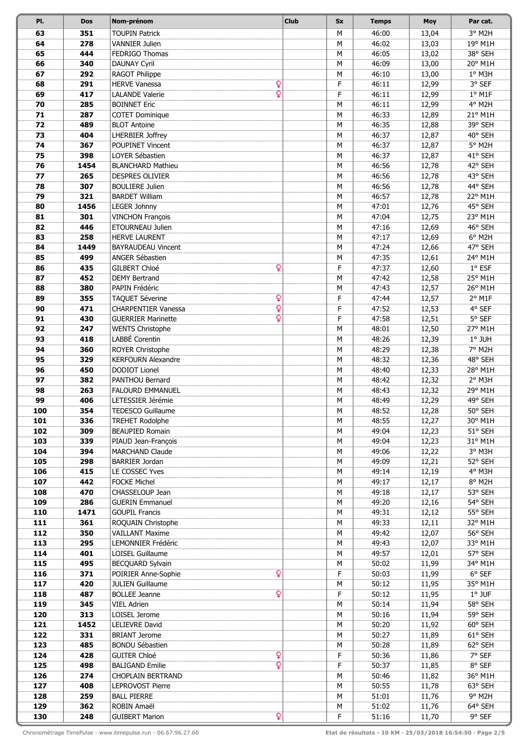| PI.        | <b>Dos</b>  | Nom-prénom                                        | <b>Club</b> | <b>Sx</b> | <b>Temps</b>   | <b>Moy</b>     | Par cat.            |
|------------|-------------|---------------------------------------------------|-------------|-----------|----------------|----------------|---------------------|
| 63         | 351         | <b>TOUPIN Patrick</b>                             |             | M         | 46:00          | 13,04          | 3° M2H              |
| 64         | 278         | <b>VANNIER Julien</b>                             |             | М         | 46:02          | 13,03          | 19° M1H             |
| 65         | 444         | FEDRIGO Thomas                                    |             | M         | 46:05          | 13,02          | 38° SEH             |
| 66         | 340         | <b>DAUNAY Cyril</b>                               |             | М         | 46:09          | 13,00          | 20° M1H             |
| 67         | 292         | RAGOT Philippe                                    |             | М         | 46:10          | 13,00          | $1°$ M3H            |
| 68         | 291         | Q<br><b>HERVE Vanessa</b>                         |             | F         | 46:11          | 12,99          | 3° SEF              |
| 69         | 417         | $\overline{Q}$<br><b>LALANDE Valerie</b>          |             | F         | 46:11          | 12,99          | $1°$ M1F            |
| 70         | 285         | <b>BOINNET Eric</b>                               |             | M         | 46:11          | 12,99          | 4° M2H              |
| 71         | 287         | <b>COTET Dominique</b>                            |             | M         | 46:33          | 12,89          | 21° M1H             |
| 72         | 489         | <b>BLOT Antoine</b>                               |             | М         | 46:35          | 12,88          | 39° SEH             |
| 73         | 404         | <b>LHERBIER Joffrey</b>                           |             | M         | 46:37          | 12,87          | 40° SEH             |
| 74         | 367         | POUPINET Vincent                                  |             | М         | 46:37          | 12,87          | 5° M2H              |
| 75         | 398         | LOYER Sébastien                                   |             | М         | 46:37          | 12,87          | 41° SEH             |
| 76         | 1454        | <b>BLANCHARD Mathieu</b>                          |             | M         | 46:56          | 12,78          | 42° SEH             |
| 77         | 265         | <b>DESPRES OLIVIER</b>                            |             | M         | 46:56          | 12,78          | 43° SEH             |
| 78         | 307         | <b>BOULIERE Julien</b>                            |             | M         | 46:56          | 12,78          | 44° SEH             |
| 79         | 321         | <b>BARDET William</b>                             |             | M         | 46:57          | 12,78          | 22° M1H             |
| 80         | 1456        | <b>LEGER Johnny</b>                               |             | M         | 47:01          | 12,76          | 45° SEH             |
| 81         | 301         | <b>VINCHON François</b>                           |             | M         | 47:04          | 12,75          | 23° M1H             |
| 82         | 446         | <b>ETOURNEAU Julien</b>                           |             | M         | 47:16          | 12,69          | 46° SEH             |
| 83         | 258         | <b>HERVE LAURENT</b><br><b>BAYRAUDEAU Vincent</b> |             | M         | 47:17          | 12,69          | 6° M2H<br>47° SEH   |
| 84         | 1449<br>499 | ANGER Sébastien                                   |             | М         | 47:24          | 12,66          |                     |
| 85         |             | ò                                                 |             | М<br>F    | 47:35          | 12,61          | 24° M1H<br>$1°$ ESF |
| 86<br>87   | 435<br>452  | <b>GILBERT Chloé</b><br><b>DEMY Bertrand</b>      |             | М         | 47:37<br>47:42 | 12,60<br>12,58 | 25° M1H             |
| 88         | 380         | PAPIN Frédéric                                    |             | М         | 47:43          | 12,57          | 26° M1H             |
| 89         | 355         | ò<br>TAQUET Séverine                              |             | F         | 47:44          | 12,57          | 2° M1F              |
| 90         | 471         | Ó<br><b>CHARPENTIER Vanessa</b>                   |             | F         | 47:52          | 12,53          | 4° SEF              |
| 91         | 430         | Ö<br><b>GUERRIER Marinette</b>                    |             | F         | 47:58          | 12,51          | 5° SEF              |
| 92         | 247         | <b>WENTS Christophe</b>                           |             | М         | 48:01          | 12,50          | 27° M1H             |
| 93         | 418         | LABBÉ Corentin                                    |             | M         | 48:26          | 12,39          | $1°$ JUH            |
| 94         | 360         | ROYER Christophe                                  |             | M         | 48:29          | 12,38          | 7° M2H              |
| 95         | 329         | <b>KERFOURN Alexandre</b>                         |             | M         | 48:32          | 12,36          | 48° SEH             |
| 96         | 450         | <b>DODIOT Lionel</b>                              |             | M         | 48:40          | 12,33          | 28° M1H             |
| 97         | 382         | <b>PANTHOU Bernard</b>                            |             | М         | 48:42          | 12,32          | 2° M3H              |
| 98         | 263         | <b>FALOURD EMMANUEL</b>                           |             | М         | 48:43          | 12,32          | 29° M1H             |
| 99         | 406         | LETESSIER Jérémie                                 |             | М         | 48:49          | 12,29          | 49° SEH             |
| 100        | 354         | <b>TEDESCO Guillaume</b>                          |             | М         | 48:52          | 12,28          | 50° SEH             |
| 101        | 336         | <b>TREHET Rodolphe</b>                            |             | М         | 48:55          | 12,27          | 30° M1H             |
| 102        | 309         | <b>BEAUPIED Romain</b>                            |             | М         | 49:04          | 12,23          | 51° SEH             |
| 103        | 339         | PIAUD Jean-François                               |             | M         | 49:04          | 12,23          | 31° M1H             |
| 104        | 394         | <b>MARCHAND Claude</b>                            |             | М         | 49:06          | 12,22          | 3° M3H              |
| 105        | 298         | <b>BARRIER Jordan</b>                             |             | M         | 49:09          | 12,21          | 52° SEH             |
| 106        | 415         | LE COSSEC Yves                                    |             | M         | 49:14          | 12,19          | 4° M3H              |
| 107        | 442         | <b>FOCKE Michel</b>                               |             | М         | 49:17          | 12,17          | 8° M2H              |
| 108        | 470         | CHASSELOUP Jean                                   |             | М         | 49:18          | 12,17          | 53° SEH             |
| 109        | 286         | <b>GUERIN Emmanuel</b>                            |             | М         | 49:20          | 12,16          | 54° SEH             |
| 110<br>111 | 1471<br>361 | <b>GOUPIL Francis</b><br>ROQUAIN Christophe       |             | М<br>М    | 49:31<br>49:33 | 12,12<br>12,11 | 55° SEH<br>32° M1H  |
| 112        | 350         | <b>VAILLANT Maxime</b>                            |             | М         | 49:42          | 12,07          | 56° SEH             |
| 113        | 295         | LEMONNIER Frédéric                                |             | М         | 49:43          | 12,07          | 33° M1H             |
| 114        | 401         | LOISEL Guillaume                                  |             | М         | 49:57          | 12,01          | 57° SEH             |
| 115        | 495         | BECQUARD Sylvain                                  |             | М         | 50:02          | 11,99          | 34° M1H             |
| 116        | 371         | ò<br>POIRIER Anne-Sophie                          |             | F         | 50:03          | 11,99          | 6° SEF              |
| 117        | 420         | <b>JULIEN Guillaume</b>                           |             | М         | 50:12          | 11,95          | 35° M1H             |
| 118        | 487         | $\overline{\mathbf{Q}}$<br><b>BOLLEE Jeanne</b>   |             | F         | 50:12          | 11,95          | $1°$ JUF            |
| 119        | 345         | <b>VIEL Adrien</b>                                |             | М         | 50:14          | 11,94          | 58° SEH             |
| 120        | 313         | LOISEL Jerome                                     |             | М         | 50:16          | 11,94          | 59° SEH             |
| 121        | 1452        | LELIEVRE David                                    |             | М         | 50:20          | 11,92          | 60° SEH             |
| 122        | 331         | <b>BRIANT Jerome</b>                              |             | М         | 50:27          | 11,89          | 61° SEH             |
| 123        | 485         | <b>BONDU Sébastien</b>                            |             | М         | 50:28          | 11,89          | 62° SEH             |
| 124        | 428         | ò<br><b>GUITER Chloé</b>                          |             | F         | 50:36          | 11,86          | 7° SEF              |
| 125        | 498         | $\overline{\mathbf{Q}}$<br><b>BALIGAND Emilie</b> |             | F         | 50:37          | 11,85          | 8° SEF              |
| 126        | 274         | <b>CHOPLAIN BERTRAND</b>                          |             | М         | 50:46          | 11,82          | 36° M1H             |
| 127        | 408         | <b>LEPROVOST Pierre</b>                           |             | М         | 50:55          | 11,78          | 63° SEH             |
| 128        | 259         | <b>BALL PIERRE</b>                                |             | M         | 51:01          | 11,76          | 9° M2H              |
| 129        | 362         | ROBIN Amaël                                       |             | М         | 51:02          | 11,76          | 64° SEH             |
| 130        | 248         | ò<br><b>GUIBERT Marion</b>                        |             | F         | 51:16          | 11,70          | 9° SEF              |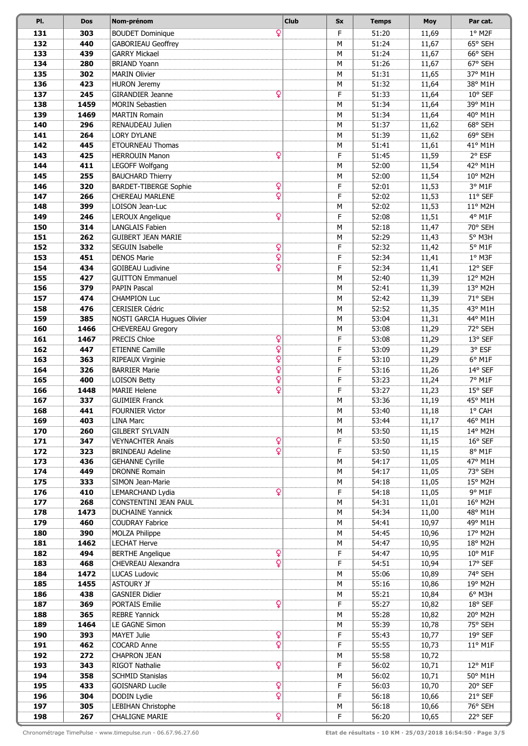| PI.        | <b>Dos</b> | Nom-prénom                                                                   | <b>Club</b> | <b>Sx</b> | <b>Temps</b>   | <b>Moy</b>     | Par cat.           |
|------------|------------|------------------------------------------------------------------------------|-------------|-----------|----------------|----------------|--------------------|
| 131        | 303        | Q<br><b>BOUDET Dominique</b>                                                 |             | F         | 51:20          | 11,69          | 1° M2F             |
| 132        | 440        | <b>GABORIEAU Geoffrey</b>                                                    |             | М         | 51:24          | 11,67          | 65° SEH            |
| 133        | 439        | <b>GARRY Mickael</b>                                                         |             | M         | 51:24          | 11,67          | 66° SEH            |
| 134        | 280        | <b>BRIAND Yoann</b>                                                          |             | М         | 51:26          | 11,67          | 67° SEH            |
| 135        | 302        | <b>MARIN Olivier</b>                                                         |             | M         | 51:31          | 11,65          | 37° M1H            |
| 136        | 423        | <b>HURON Jeremy</b>                                                          |             | M         | 51:32          | 11,64          | 38° M1H            |
| 137        | 245        | Ó<br><b>GIRANDIER Jeanne</b>                                                 |             | F         | 51:33          | 11,64          | 10° SEF            |
| 138        | 1459       | <b>MORIN Sebastien</b>                                                       |             | M         | 51:34          | 11,64          | 39° M1H            |
| 139        | 1469       | <b>MARTIN Romain</b>                                                         |             | M         | 51:34          | 11,64          | 40° M1H            |
| 140        | 296        | RENAUDEAU Julien                                                             |             | М         | 51:37          | 11,62          | 68° SEH            |
| 141        | 264        | <b>LORY DYLANE</b>                                                           |             | M         | 51:39          | 11,62          | 69° SEH            |
| 142        | 445        | ETOURNEAU Thomas                                                             |             | М         | 51:41          | 11,61          | 41° M1H            |
| 143        | 425        | ò<br><b>HERROUIN Manon</b>                                                   |             | F         | 51:45          | 11,59          | 2° ESF             |
| 144        | 411        | LEGOFF Wolfgang                                                              |             | М         | 52:00          | 11,54          | 42° M1H            |
| 145        | 255        | <b>BAUCHARD Thierry</b>                                                      |             | M         | 52:00          | 11,54          | 10° M2H            |
| 146        | 320        | Q<br><b>BARDET-TIBERGE Sophie</b>                                            |             | F         | 52:01          | 11,53          | 3° M1F             |
| 147        | 266        | Ó<br><b>CHEREAU MARLENE</b>                                                  |             | F         | 52:02          | 11,53          | 11° SEF            |
| 148        | 399        | LOISON Jean-Luc                                                              |             | М         | 52:02          | 11,53          | 11° M2H            |
| 149        | 246        | Ó<br><b>LEROUX Angelique</b>                                                 |             | F         | 52:08          | 11,51          | 4° M1F             |
| 150        | 314        | <b>LANGLAIS Fabien</b>                                                       |             | M         | 52:18          | 11,47          | 70° SEH            |
| 151        | 262        | <b>GUIBERT JEAN MARIE</b>                                                    |             | M         | 52:29          | 11,43          | 5° M3H             |
| 152        | 332<br>451 | Q<br><b>SEGUIN Isabelle</b><br>$\overline{\mathbf{Q}}$<br><b>DENOS Marie</b> |             | F<br>F    | 52:32          | 11,42          | 5° M1F<br>1° M3F   |
| 153        |            | $\overline{\mathbf{Q}}$                                                      |             |           | 52:34          | 11,41          |                    |
| 154<br>155 | 434<br>427 | <b>GOIBEAU Ludivine</b><br><b>GUITTON Emmanuel</b>                           |             | F<br>М    | 52:34<br>52:40 | 11,41          | 12° SEF<br>12° M2H |
| 156        | 379        | <b>PAPIN Pascal</b>                                                          |             | М         | 52:41          | 11,39<br>11,39 | 13° M2H            |
| 157        | 474        | <b>CHAMPION Luc</b>                                                          |             | М         | 52:42          | 11,39          | 71° SEH            |
| 158        | 476        | <b>CERISIER Cédric</b>                                                       |             | M         | 52:52          | 11,35          | 43° M1H            |
| 159        | 385        | NOSTI GARCIA Hugues Olivier                                                  |             | M         | 53:04          | 11,31          | 44° M1H            |
| 160        | 1466       | CHEVEREAU Gregory                                                            |             | М         | 53:08          | 11,29          | 72° SEH            |
| 161        | 1467       | ò<br>PRECIS Chloe                                                            |             | F         | 53:08          | 11,29          | 13° SEF            |
| 162        | 447        | Ó<br><b>ETIENNE Camille</b>                                                  |             | F         | 53:09          | 11,29          | 3° ESF             |
| 163        | 363        | Ó<br>RIPEAUX Virginie                                                        |             | F         | 53:10          | 11,29          | 6° M1F             |
| 164        | 326        | ö<br><b>BARRIER Marie</b>                                                    |             | F         | 53:16          | 11,26          | 14° SEF            |
| 165        | 400        | Ö<br><b>LOISON Betty</b>                                                     |             | F         | 53:23          | 11,24          | 7° M1F             |
| 166        | 1448       | $\overline{Q}$<br><b>MARIE Helene</b>                                        |             | F         | 53:27          | 11,23          | 15° SEF            |
| 167        | 337        | <b>GUIMIER Franck</b>                                                        |             | М         | 53:36          | 11,19          | 45° M1H            |
| 168        | 441        | <b>FOURNIER Victor</b>                                                       |             | М         | 53:40          | 11,18          | 1° CAH             |
| 169        | 403        | <b>LINA Marc</b>                                                             |             | М         | 53:44          | 11,17          | 46° M1H            |
| 170        | 260        | <b>GILBERT SYLVAIN</b>                                                       |             | М         | 53:50          | 11,15          | 14° M2H            |
| 171        | 347        | ò<br><b>VEYNACHTER Anaïs</b>                                                 |             | F         | 53:50          | 11,15          | 16° SEF            |
| 172        | 323        | $\overline{Q}$<br><b>BRINDEAU Adeline</b>                                    |             | F         | 53:50          | 11,15          | 8° M1F             |
| 173        | 436        | <b>GEHANNE Cyrille</b>                                                       |             | М         | 54:17          | 11,05          | 47° M1H            |
| 174        | 449        | <b>DRONNE Romain</b>                                                         |             | M         | 54:17          | 11,05          | 73° SEH            |
| 175        | 333        | SIMON Jean-Marie                                                             |             | М         | 54:18          | 11,05          | 15° M2H            |
| 176        | 410        | ¥<br>LEMARCHAND Lydia                                                        |             | F         | 54:18          | 11,05          | 9° M1F             |
| 177        | 268        | CONSTENTINI JEAN PAUL                                                        |             | М         | 54:31          | 11,01          | 16° M2H            |
| 178        | 1473       | <b>DUCHAINE Yannick</b>                                                      |             | М         | 54:34          | 11,00          | 48° M1H            |
| 179        | 460        | <b>COUDRAY Fabrice</b>                                                       |             | М         | 54:41          | 10,97          | 49° M1H            |
| 180        | 390        | <b>MOLZA Philippe</b>                                                        |             | М         | 54:45          | 10,96          | 17° M2H            |
| 181        | 1462       | <b>LECHAT Herve</b>                                                          |             | М         | 54:47          | 10,95          | 18° M2H            |
| 182        | 494        | <b>BERTHE Angelique</b><br>ò                                                 |             | F         | 54:47          | 10,95          | 10° M1F            |
| 183        | 468        | Ó<br>CHEVREAU Alexandra                                                      |             | F         | 54:51          | 10,94          | 17° SEF            |
| 184        | 1472       | <b>LUCAS Ludovic</b>                                                         |             | М         | 55:06          | 10,89          | 74° SEH            |
| 185        | 1455       | <b>ASTOURY Jf</b>                                                            |             | M         | 55:16          | 10,86          | 19° M2H            |
| 186        | 438        | <b>GASNIER Didier</b>                                                        |             | М         | 55:21          | 10,84          | 6° M3H             |
| 187        | 369        | ò<br><b>PORTAIS Emilie</b>                                                   |             | F         | 55:27          | 10,82          | 18° SEF            |
| 188        | 365        | <b>REBRE Yannick</b>                                                         |             | М         | 55:28          | 10,82          | 20° M2H            |
| 189        | 1464       | LE GAGNE Simon                                                               |             | М         | 55:39          | 10,78          | 75° SEH            |
| 190        | 393        | ¥<br><b>MAYET Julie</b><br>$\overline{Q}$                                    |             | F         | 55:43          | 10,77          | 19° SEF            |
| 191        | 462        | <b>COCARD Anne</b>                                                           |             | F         | 55:55          | 10,73          | $11^{\circ}$ M1F   |
| 192        | 272        | <b>CHAPRON JEAN</b><br>ò                                                     |             | М<br>F    | 55:58          | 10,72          |                    |
| 193<br>194 | 343<br>358 | RIGOT Nathalie<br><b>SCHMID Stanislas</b>                                    |             | М         | 56:02<br>56:02 | 10,71<br>10,71 | 12° M1F<br>50° M1H |
| 195        | 433        | ò<br><b>GOISNARD Lucile</b>                                                  |             | F         | 56:03          | 10,70          | 20° SEF            |
| 196        |            | ò                                                                            |             | F         |                |                | 21° SEF            |
| 197        | 304<br>305 | DODIN Lydie<br>LEBIHAN Christophe                                            |             | М         | 56:18<br>56:18 | 10,66          | 76° SEH            |
| 198        | 267        | ò<br><b>CHALIGNE MARIE</b>                                                   |             | F         | 56:20          | 10,66<br>10,65 | 22° SEF            |
|            |            |                                                                              |             |           |                |                |                    |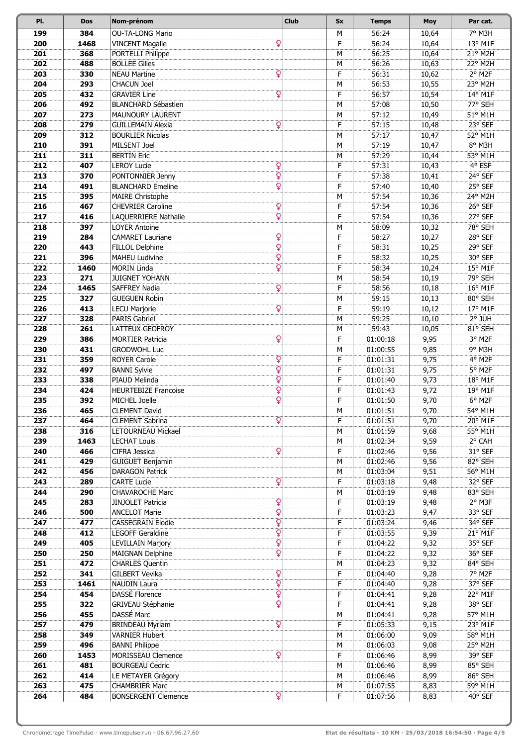| PI.        | <b>Dos</b> | Nom-prénom                                          | <b>Club</b> | <b>Sx</b> | <b>Temps</b>         | <b>Moy</b>     | Par cat.             |
|------------|------------|-----------------------------------------------------|-------------|-----------|----------------------|----------------|----------------------|
| 199        | 384        | <b>OU-TA-LONG Mario</b>                             |             | M         | 56:24                | 10,64          | 7° M3H               |
| 200        | 1468       | ò<br><b>VINCENT Magalie</b>                         |             | F         | 56:24                | 10,64          | 13° M1F              |
| 201        | 368        | PORTELLI Philippe                                   |             | M         | 56:25                | 10,64          | 21° M2H              |
| 202        | 488        | <b>BOLLEE Gilles</b>                                |             | M         | 56:26                | 10,63          | 22° M2H              |
| 203        | 330        | ò<br><b>NEAU Martine</b>                            |             | F         | 56:31                | 10,62          | $2°$ M <sub>2F</sub> |
| 204        | 293        | <b>CHACUN Joel</b>                                  |             | M         | 56:53                | 10,55          | 23° M2H              |
| 205        | 432        | ö<br><b>GRAVIER Line</b>                            |             | F         | 56:57                | 10,54          | 14° M1F              |
| 206        | 492        | <b>BLANCHARD Sébastien</b>                          |             | M         | 57:08                | 10,50          | 77° SEH              |
| 207        | 273        | MAUNOURY LAURENT                                    |             | М         | 57:12                | 10,49          | 51° M1H              |
| 208        | 279        | Q<br><b>GUILLEMAIN Alexia</b>                       |             | F         | 57:15                | 10,48          | 23° SEF              |
| 209<br>210 | 312<br>391 | <b>BOURLIER Nicolas</b><br>MILSENT Joel             |             | М<br>М    | 57:17<br>57:19       | 10,47<br>10,47 | 52° M1H<br>8° M3H    |
| 211        | 311        | <b>BERTIN Eric</b>                                  |             | M         | 57:29                | 10,44          | 53° M1H              |
| 212        | 407        | Q<br><b>LEROY Lucie</b>                             |             | F         | 57:31                | 10,43          | 4° ESF               |
| 213        | 370        | Ó<br>PONTONNIER Jenny                               |             | F         | 57:38                | 10,41          | 24° SEF              |
| 214        | 491        | Ó<br><b>BLANCHARD Emeline</b>                       |             | F         | 57:40                | 10,40          | 25° SEF              |
| 215        | 395        | <b>MAIRE Christophe</b>                             |             | M         | 57:54                | 10,36          | 24° M2H              |
| 216        | 467        | Q<br><b>CHEVRIER Caroline</b>                       |             | F         | 57:54                | 10,36          | 26° SEF              |
| 217        | 416        | Ó<br>LAQUERRIERE Nathalie                           |             | F         | 57:54                | 10,36          | 27° SEF              |
| 218        | 397        | <b>LOYER Antoine</b>                                |             | М         | 58:09                | 10,32          | 78° SEH              |
| 219        | 284        | ò<br><b>CAMARET Lauriane</b>                        |             | F         | 58:27                | 10,27          | 28° SEF              |
| 220        | 443        | Ó<br>FILLOL Delphine                                |             | F         | 58:31                | 10,25          | 29° SEF              |
| 221        | 396        | Ó<br><b>MAHEU Ludivine</b>                          |             | F         | 58:32                | 10,25          | 30° SEF              |
| 222        | 1460       | $\overline{\mathsf{Q}}$<br><b>MORIN Linda</b>       |             | F         | 58:34                | 10,24          | 15° M1F              |
| 223        | 271        | <b>JUIGNET YOHANN</b>                               |             | M         | 58:54                | 10,19          | 79° SEH              |
| 224        | 1465       | Ó<br><b>SAFFREY Nadia</b>                           |             | F         | 58:56                | 10,18          | 16° M1F              |
| 225        | 327        | <b>GUEGUEN Robin</b>                                |             | M         | 59:15                | 10,13          | 80° SEH              |
| 226<br>227 | 413<br>328 | Q<br><b>LECU Marjorie</b><br>PARIS Gabriel          |             | F<br>M    | 59:19<br>59:25       | 10,12<br>10,10 | 17° M1F<br>2° JUH    |
| 228        | 261        | LATTEUX GEOFROY                                     |             | M         | 59:43                | 10,05          | 81° SEH              |
| 229        | 386        | ò<br><b>MORTIER Patricia</b>                        |             | F         | 01:00:18             | 9,95           | 3° M <sub>2F</sub>   |
| 230        | 431        | <b>GRODWOHL Luc</b>                                 |             | М         | 01:00:55             | 9,85           | 9° M3H               |
| 231        | 359        | Q<br><b>ROYER Carole</b>                            |             | F         | 01:01:31             | 9,75           | 4° M2F               |
| 232        | 497        | Ó<br><b>BANNI Sylvie</b>                            |             | F         | 01:01:31             | 9,75           | 5° M2F               |
| 233        | 338        | Ó<br>PIAUD Melinda                                  |             | F         | 01:01:40             | 9,73           | 18° M1F              |
| 234        | 424        | Ó<br>HEURTEBIZE Francoise                           |             | F         | 01:01:43             | 9,72           | 19° M1F              |
| 235        | 392        | Ö<br>MICHEL Joelle                                  |             | F         | 01:01:50             | 9,70           | 6° M2F               |
| 236        | 465        | <b>CLEMENT David</b>                                |             | M         | 01:01:51             | 9,70           | 54° M1H              |
| 237        | 464        | ò<br><b>CLEMENT Sabrina</b>                         |             | F         | 01:01:51             | 9,70           | 20° M1F              |
| 238        | 316        | LETOURNEAU Mickael                                  |             | М         | 01:01:59             | 9,68           | 55° M1H              |
| 239        | 1463       | <b>LECHAT Louis</b>                                 |             | M         | 01:02:34             | 9,59           | 2° CAH               |
| 240        | 466        | ò<br><b>CIFRA Jessica</b>                           |             | F         | 01:02:46             | 9,56           | 31° SEF              |
| 241<br>242 | 429<br>456 | <b>GUIGUET Benjamin</b><br><b>DARAGON Patrick</b>   |             | M<br>M    | 01:02:46<br>01:03:04 | 9,56<br>9,51   | 82° SEH<br>56° M1H   |
| 243        | 289        | ò<br><b>CARTE Lucie</b>                             |             | F         | 01:03:18             | 9,48           | 32° SEF              |
| 244        | 290        | <b>CHAVAROCHE Marc</b>                              |             | М         | 01:03:19             | 9,48           | 83° SEH              |
| 245        | 283        | ò<br><b>JINJOLET Patricia</b>                       |             | F         | 01:03:19             | 9,48           | 2° M3F               |
| 246        | 500        | Ó<br><b>ANCELOT Marie</b>                           |             | F         | 01:03:23             | 9,47           | 33° SEF              |
| 247        | 477        | $\overline{Q}$<br>CASSEGRAIN Elodie                 |             | F         | 01:03:24             | 9,46           | 34° SEF              |
| 248        | 412        | $\overline{\mathsf{Q}}$<br>LEGOFF Geraldine         |             | F         | 01:03:55             | 9,39           | 21° M1F              |
| 249        | 405        | $\overline{\mathtt{Q}}$<br><b>LEVILLAIN Marjory</b> |             | F         | 01:04:22             | 9,32           | 35° SEF              |
| 250        | 250        | Ó<br><b>MAIGNAN Delphine</b>                        |             | F         | 01:04:22             | 9,32           | 36° SEF              |
| 251        | 472        | <b>CHARLES Quentin</b>                              |             | M         | 01:04:23             | 9,32           | 84° SEH              |
| 252        | 341        | Q<br><b>GILBERT Vevika</b>                          |             | F         | 01:04:40             | 9,28           | 7° M2F               |
| 253        | 1461       | $\overline{Q}$<br><b>NAUDIN Laura</b>               |             | F         | 01:04:40             | 9,28           | 37° SEF              |
| 254        | 454        | Ó<br>DASSÉ Florence<br>Ö                            |             | F         | 01:04:41             | 9,28           | 22° M1F              |
| 255<br>256 | 322<br>455 | GRIVEAU Stéphanie<br>DASSÉ Marc                     |             | F<br>М    | 01:04:41<br>01:04:41 | 9,28<br>9,28   | 38° SEF<br>57° M1H   |
| 257        | 479        | ¥<br><b>BRINDEAU Myriam</b>                         |             | F         | 01:05:33             | 9,15           | 23° M1F              |
| 258        | 349        | <b>VARNIER Hubert</b>                               |             | М         | 01:06:00             | 9,09           | 58° M1H              |
| 259        | 496        | <b>BANNI Philippe</b>                               |             | М         | 01:06:03             | 9,08           | 25° M2H              |
| 260        | 1453       | ò<br>MORISSEAU Clemence                             |             | F         | 01:06:46             | 8,99           | 39° SEF              |
| 261        | 481        | <b>BOURGEAU Cedric</b>                              |             | M         | 01:06:46             | 8,99           | 85° SEH              |
| 262        | 414        | LE METAYER Grégory                                  |             | М         | 01:06:46             | 8,99           | 86° SEH              |
| 263        | 475        | <b>CHAMBRIER Marc</b>                               |             | М         | 01:07:55             | 8,83           | 59° M1H              |
| 264        | 484        | ò<br><b>BONSERGENT Clemence</b>                     |             | F         | 01:07:56             | 8,83           | 40° SEF              |
|            |            |                                                     |             |           |                      |                |                      |